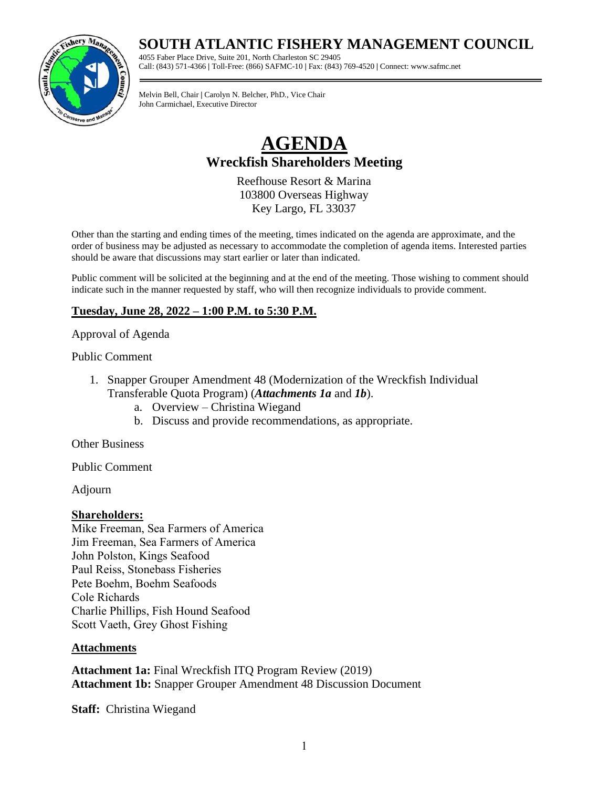## **SOUTH ATLANTIC FISHERY MANAGEMENT COUNCIL**

4055 Faber Place Drive, Suite 201, North Charleston SC 29405 Call: (843) 571-4366 **|** Toll-Free: (866) SAFMC-10 **|** Fax: (843) 769-4520 **|** Connect: www.safmc.net

Melvin Bell, Chair **|** Carolyn N. Belcher, PhD., Vice Chair John Carmichael, Executive Director

# **AGENDA Wreckfish Shareholders Meeting**

Reefhouse Resort & Marina 103800 Overseas Highway Key Largo, FL 33037

Other than the starting and ending times of the meeting, times indicated on the agenda are approximate, and the order of business may be adjusted as necessary to accommodate the completion of agenda items. Interested parties should be aware that discussions may start earlier or later than indicated.

Public comment will be solicited at the beginning and at the end of the meeting. Those wishing to comment should indicate such in the manner requested by staff, who will then recognize individuals to provide comment.

### **Tuesday, June 28, 2022 – 1:00 P.M. to 5:30 P.M.**

#### Approval of Agenda

#### Public Comment

- 1. Snapper Grouper Amendment 48 (Modernization of the Wreckfish Individual Transferable Quota Program) (*Attachments 1a* and *1b*).
	- a. Overview Christina Wiegand
	- b. Discuss and provide recommendations, as appropriate.

Other Business

Public Comment

Adjourn

#### **Shareholders:**

Mike Freeman, Sea Farmers of America Jim Freeman, Sea Farmers of America John Polston, Kings Seafood Paul Reiss, Stonebass Fisheries Pete Boehm, Boehm Seafoods Cole Richards Charlie Phillips, Fish Hound Seafood Scott Vaeth, Grey Ghost Fishing

#### **Attachments**

**Attachment 1a:** Final Wreckfish ITQ Program Review (2019) **Attachment 1b:** Snapper Grouper Amendment 48 Discussion Document

**Staff:** Christina Wiegand